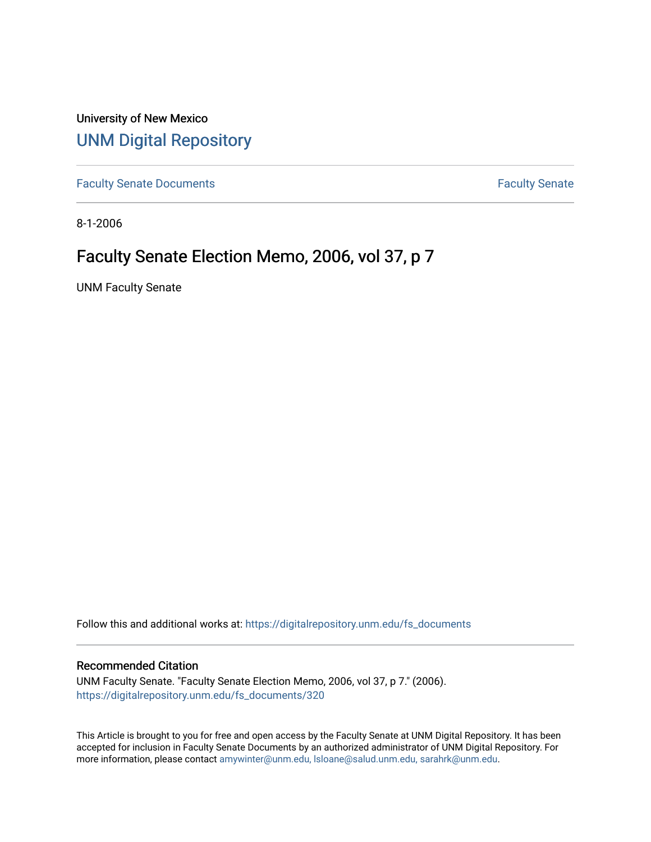University of New Mexico [UNM Digital Repository](https://digitalrepository.unm.edu/) 

[Faculty Senate Documents](https://digitalrepository.unm.edu/fs_documents) **Faculty** Senate **Faculty** Senate

8-1-2006

# Faculty Senate Election Memo, 2006, vol 37, p 7

UNM Faculty Senate

Follow this and additional works at: [https://digitalrepository.unm.edu/fs\\_documents](https://digitalrepository.unm.edu/fs_documents?utm_source=digitalrepository.unm.edu%2Ffs_documents%2F320&utm_medium=PDF&utm_campaign=PDFCoverPages)

#### Recommended Citation

UNM Faculty Senate. "Faculty Senate Election Memo, 2006, vol 37, p 7." (2006). [https://digitalrepository.unm.edu/fs\\_documents/320](https://digitalrepository.unm.edu/fs_documents/320?utm_source=digitalrepository.unm.edu%2Ffs_documents%2F320&utm_medium=PDF&utm_campaign=PDFCoverPages)

This Article is brought to you for free and open access by the Faculty Senate at UNM Digital Repository. It has been accepted for inclusion in Faculty Senate Documents by an authorized administrator of UNM Digital Repository. For more information, please contact [amywinter@unm.edu, lsloane@salud.unm.edu, sarahrk@unm.edu](mailto:amywinter@unm.edu,%20lsloane@salud.unm.edu,%20sarahrk@unm.edu).